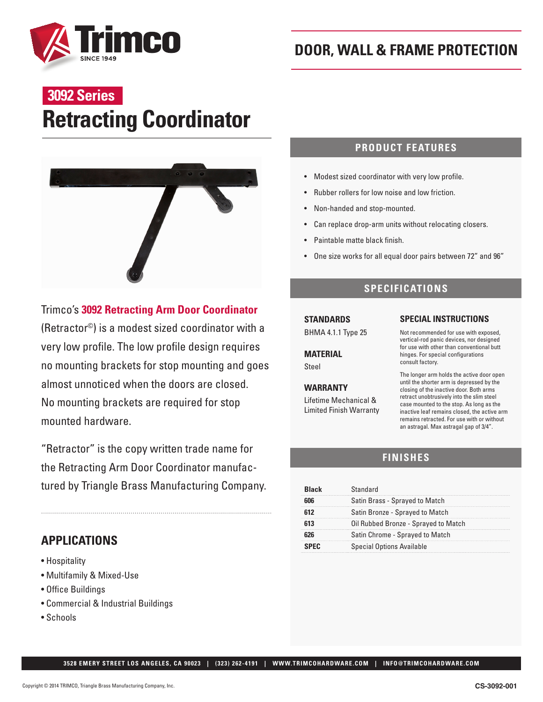

# **Retracting Coordinator 3092 Series**



## Trimco's **3092 Retracting Arm Door Coordinator**

(Retractor©) is a modest sized coordinator with a very low profile. The low profile design requires no mounting brackets for stop mounting and goes almost unnoticed when the doors are closed. No mounting brackets are required for stop mounted hardware.

"Retractor" is the copy written trade name for the Retracting Arm Door Coordinator manufactured by Triangle Brass Manufacturing Company.

# **APPLICATIONS**

- Hospitality
- Multifamily & Mixed-Use
- Office Buildings
- Commercial & Industrial Buildings
- Schools

### **PRODUCT FEATURES**

- Modest sized coordinator with very low profile.
- Rubber rollers for low noise and low friction.
- Non-handed and stop-mounted.
- Can replace drop-arm units without relocating closers.
- Paintable matte black finish.
- One size works for all equal door pairs between 72" and 96"

### **SPECIFICATIONS**

# **STANDARDS**

BHMA 4.1.1 Type 25

**MATERIAL**  Steel

#### **WARRANTY**

Lifetime Mechanical & Limited Finish Warranty

#### **SPECIAL INSTRUCTIONS**

Not recommended for use with exposed, vertical-rod panic devices, nor designed for use with other than conventional butt hinges. For special configurations consult factory.

The longer arm holds the active door open until the shorter arm is depressed by the closing of the inactive door. Both arms retract unobtrusively into the slim steel case mounted to the stop. As long as the inactive leaf remains closed, the active arm remains retracted. For use with or without an astragal. Max astragal gap of 3/4".

## **FINISHES**

| Rlack | Standard                             |  |
|-------|--------------------------------------|--|
|       | Satin Brass - Sprayed to Match       |  |
|       | Satin Bronze - Sprayed to Match      |  |
| 613   | Oil Rubbed Bronze - Sprayed to Match |  |
|       | Satin Chrome - Sprayed to Match      |  |
| SPFC. | <b>Special Options Available</b>     |  |

 **3528 EMERY STREET LOS ANGELES, CA 90023 | (323) 262-4191 | WWW.TRIMCOHARDWARE.COM | INFO@TRIMCOHARDWARE.COM**